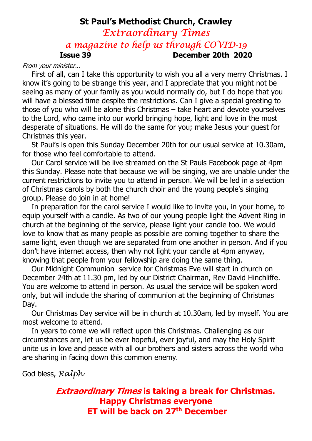# St Paul's Methodist Church, Crawley Extraordinary Times a magazine to help us through COVID-19 Issue 39 December 20th 2020

From your minister…

 First of all, can I take this opportunity to wish you all a very merry Christmas. I know it's going to be strange this year, and I appreciate that you might not be seeing as many of your family as you would normally do, but I do hope that you will have a blessed time despite the restrictions. Can I give a special greeting to those of you who will be alone this Christmas – take heart and devote yourselves to the Lord, who came into our world bringing hope, light and love in the most desperate of situations. He will do the same for you; make Jesus your guest for Christmas this year.

 St Paul's is open this Sunday December 20th for our usual service at 10.30am, for those who feel comfortable to attend.

 Our Carol service will be live streamed on the St Pauls Facebook page at 4pm this Sunday. Please note that because we will be singing, we are unable under the current restrictions to invite you to attend in person. We will be led in a selection of Christmas carols by both the church choir and the young people's singing group. Please do join in at home!

 In preparation for the carol service I would like to invite you, in your home, to equip yourself with a candle. As two of our young people light the Advent Ring in church at the beginning of the service, please light your candle too. We would love to know that as many people as possible are coming together to share the same light, even though we are separated from one another in person. And if you don't have internet access, then why not light your candle at 4pm anyway, knowing that people from your fellowship are doing the same thing.

 Our Midnight Communion service for Christmas Eve will start in church on December 24th at 11.30 pm, led by our District Chairman, Rev David Hinchliffe. You are welcome to attend in person. As usual the service will be spoken word only, but will include the sharing of communion at the beginning of Christmas Day.

 Our Christmas Day service will be in church at 10.30am, led by myself. You are most welcome to attend.

 In years to come we will reflect upon this Christmas. Challenging as our circumstances are, let us be ever hopeful, ever joyful, and may the Holy Spirit unite us in love and peace with all our brothers and sisters across the world who are sharing in facing down this common enemy.

God bless, Ralph

## **Extraordinary Times is taking a break for Christmas.** Happy Christmas everyone ET will be back on 27<sup>th</sup> December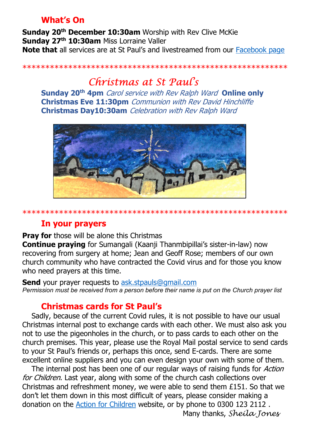## What's On

Sunday 20<sup>th</sup> December 10:30am Worship with Rev Clive McKie Sunday 27<sup>th</sup> 10:30am Miss Lorraine Valler Note that all services are at St Paul's and livestreamed from our Facebook page

\*\*\*\*\*\*\*\*\*\*\*\*\*\*\*\*\*\*\*\*\*\*\*\*\*\*\*\*\*\*\*\*\*\*\*\*\*\*\*\*\*\*\*\*\*\*\*\*\*\*\*\*\*\*\*\*\*\*

# Christmas at St Paul's

Sunday 20<sup>th</sup> 4pm *Carol service with Rev Ralph Ward* Online only Christmas Eve 11:30pm *Communion with Rev David Hinchliffe* Christmas Day10:30am Celebration with Rev Ralph Ward



\*\*\*\*\*\*\*\*\*\*\*\*\*\*\*\*\*\*\*\*\*\*\*\*\*\*\*\*\*\*\*\*\*\*\*\*\*\*\*\*\*\*\*\*\*\*\*\*\*\*\*\*\*\*\*\*\*\*

### In your prayers

**Pray for** those will be alone this Christmas

Continue praying for Sumangali (Kaanji Thanmbipillai's sister-in-law) now recovering from surgery at home; Jean and Geoff Rose; members of our own church community who have contracted the Covid virus and for those you know who need prayers at this time.

**Send** your prayer requests to ask.stpauls@gmail.com Permission must be received from a person before their name is put on the Church prayer list

## Christmas cards for St Paul's

 Sadly, because of the current Covid rules, it is not possible to have our usual Christmas internal post to exchange cards with each other. We must also ask you not to use the pigeonholes in the church, or to pass cards to each other on the church premises. This year, please use the Royal Mail postal service to send cards to your St Paul's friends or, perhaps this once, send E-cards. There are some excellent online suppliers and you can even design your own with some of them.

The internal post has been one of our regular ways of raising funds for *Action* for Children. Last year, along with some of the church cash collections over Christmas and refreshment money, we were able to send them £151. So that we don't let them down in this most difficult of years, please consider making a donation on the Action for Children website, or by phone to 0300 123 2112 .

Many thanks, Sheila Jones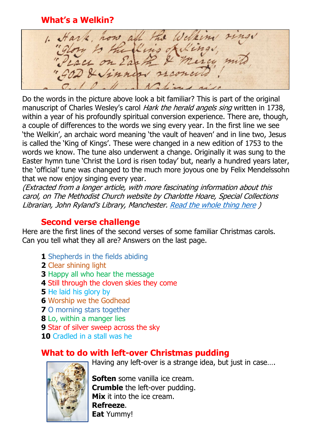What's a Welkin?

1. Hark, how all the Welkins the fluis of lings

Do the words in the picture above look a bit familiar? This is part of the original manuscript of Charles Wesley's carol Hark the herald angels sing written in 1738, within a year of his profoundly spiritual conversion experience. There are, though, a couple of differences to the words we sing every year. In the first line we see 'the Welkin', an archaic word meaning 'the vault of heaven' and in line two, Jesus is called the 'King of Kings'. These were changed in a new edition of 1753 to the words we know. The tune also underwent a change. Originally it was sung to the Easter hymn tune 'Christ the Lord is risen today' but, nearly a hundred years later, the 'official' tune was changed to the much more joyous one by Felix Mendelssohn that we now enjoy singing every year.

(Extracted from a longer article, with more fascinating information about this carol, on The Methodist Church website by Charlotte Hoare, Special Collections Librarian, John Ryland's Library, Manchester. Read the whole thing here )

#### Second verse challenge

Here are the first lines of the second verses of some familiar Christmas carols. Can you tell what they all are? Answers on the last page.

- 1 Shepherds in the fields abiding
- 2 Clear shining light
- **3 Happy all who hear the message**
- 4 Still through the cloven skies they come
- 5 He laid his glory by
- **6 Worship we the Godhead**
- 7 O morning stars together
- 8 Lo, within a manger lies
- 9 Star of silver sweep across the sky
- 10 Cradled in a stall was he

#### What to do with left-over Christmas pudding Having any left-over is a strange idea, but just in case….

Soften some vanilla ice cream. Crumble the left-over pudding. Mix it into the ice cream. Refreeze. **Eat Yummy!**